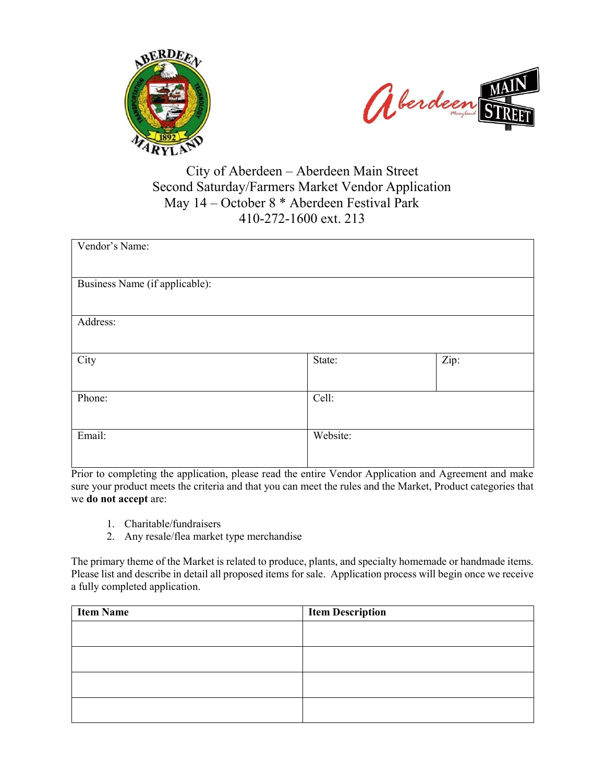



# City of Aberdeen – Aberdeen Main Street Second Saturday/Farmers Market Vendor Application May 14 – October 8 \* Aberdeen Festival Park 410-272-1600 ext. 213

| Vendor's Name:                 |          |      |
|--------------------------------|----------|------|
| Business Name (if applicable): |          |      |
|                                |          |      |
| Address:                       |          |      |
|                                |          |      |
| City                           | State:   | Zip: |
| Phone:                         | Cell:    |      |
|                                |          |      |
| Email:                         | Website: |      |
|                                |          |      |

Prior to completing the application, please read the entire Vendor Application and Agreement and make sure your product meets the criteria and that you can meet the rules and the Market, Product categories that we **do not accept** are:

- 1. Charitable/fundraisers
- 2. Any resale/flea market type merchandise

The primary theme of the Market is related to produce, plants, and specialty homemade or handmade items. Please list and describe in detail all proposed items for sale. Application process will begin once we receive a fully completed application.

| <b>Item Description</b> |
|-------------------------|
|                         |
|                         |
|                         |
|                         |
|                         |
|                         |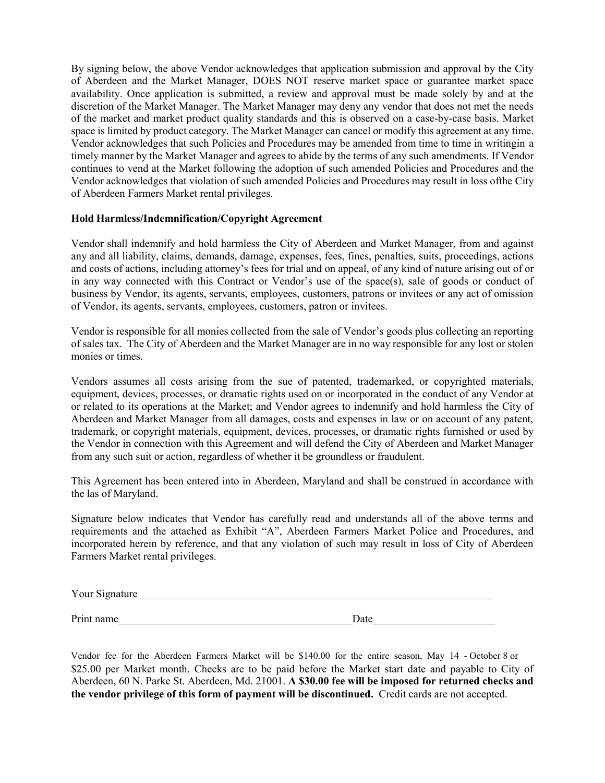By signing below, the above Vendor acknowledges that application submission and approval by the City of Aberdeen and the Market Manager, DOES NOT reserve market space or guarantee market space availability. Once application is submitted, a review and approval must be made solely by and at the discretion of the Market Manager. The Market Manager may deny any vendor that does not met the needs of the market and market product quality standards and this is observed on a case-by-case basis. Market space is limited by product category. The Market Manager can cancel or modify this agreement at any time. Vendor acknowledges that such Policies and Procedures may be amended from time to time in writing in a timely manner by the Market Manager and agrees to abide by the terms of any such amendments. If Vendor continues to vend at the Market following the adoption of such amended Policies and Procedures and the Vendor acknowledges that violation of such amended Policies and Procedures may result in loss of the City of Aberdeen Farmers Market rental privileges.

#### **Hold Harmless/Indemnification/Copyright Agreement**

Vendor shall indemnify and hold harmless the City of Aberdeen and Market Manager, from and against any and all liability, claims, demands, damage, expenses, fees, fines, penalties, suits, proceedings, actions and costs of actions, including attorney's fees for trial and on appeal, of any kind of nature arising out of or in any way connected with this Contract or Vendor's use of the space(s), sale of goods or conduct of business by Vendor, its agents, servants, employees, customers, patrons or invitees or any act of omission of Vendor, its agents, servants, employees, customers, patron or invitees.

Vendor is responsible for all monies collected from the sale of Vendor's goods plus collecting an reporting of sales tax. The City of Aberdeen and the Market Manager are in no way responsible for any lost or stolen monies or times.

Vendors assumes all costs arising from the sue of patented, trademarked, or copyrighted materials, equipment, devices, processes, or dramatic rights used on or incorporated in the conduct of any Vendor at or related to its operations at the Market; and Vendor agrees to indemnify and hold harmless the City of Aberdeen and Market Manager from all damages, costs and expenses in law or on account of any patent, trademark, or copyright materials, equipment, devices, processes, or dramatic rights furnished or used by the Vendor in connection with this Agreement and will defend the City of Aberdeen and Market Manager from any such suit or action, regardless of whether it be groundless or fraudulent.

This Agreement has been entered into in Aberdeen, Maryland and shall be construed in accordance with the las of Maryland.

Signature below indicates that Vendor has carefully read and understands all of the above terms and requirements and the attached as Exhibit "A", Aberdeen Farmers Market Police and Procedures, and incorporated herein by reference, and that any violation of such may result in loss of City of Aberdeen Farmers Market rental privileges.

Your Signature<br>
<u>Nour Signature</u>

Print name Date Date Date

Vendor fee for the Aberdeen Farmers Market will be \$140.00 for the entire season, May 14 - October 8 or \$25.00 per Market month. Checks are to be paid before the Market start date and payable to City of Aberdeen, 60 N. Parke St. Aberdeen, Md. 21001. **A \$30.00 fee will be imposed for returned checks and the vendor privilege of this form of payment will be discontinued.** Credit cards are not accepted.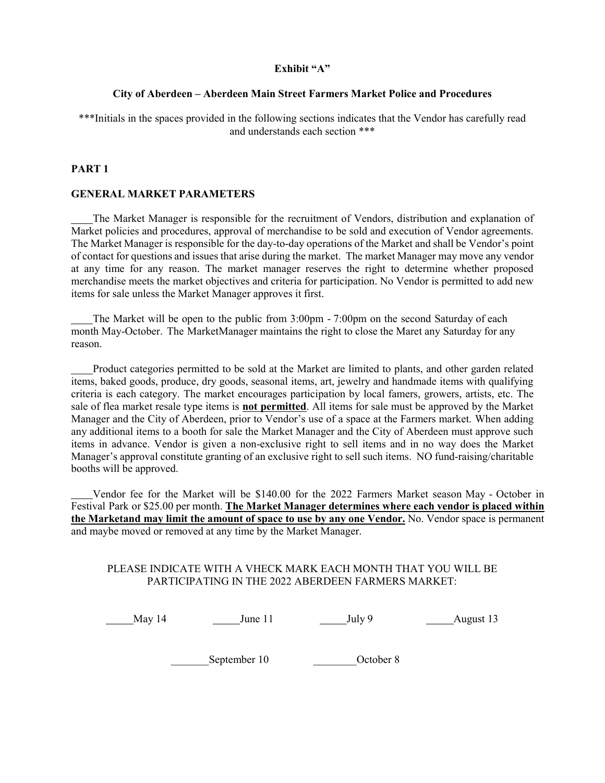## **Exhibit "A"**

## **City of Aberdeen – Aberdeen Main Street Farmers Market Police and Procedures**

\*\*\*Initials in the spaces provided in the following sections indicates that the Vendor has carefully read and understands each section \*\*\*

# **PART 1**

#### **GENERAL MARKET PARAMETERS**

 The Market Manager is responsible for the recruitment of Vendors, distribution and explanation of Market policies and procedures, approval of merchandise to be sold and execution of Vendor agreements. The Market Manager is responsible for the day-to-day operations of the Market and shall be Vendor's point of contact for questions and issues that arise during the market. The market Manager may move any vendor at any time for any reason. The market manager reserves the right to determine whether proposed merchandise meets the market objectives and criteria for participation. No Vendor is permitted to add new items for sale unless the Market Manager approves it first.

 The Market will be open to the public from 3:00pm - 7:00pm on the second Saturday of each month May-October. The Market Manager maintains the right to close the Maret any Saturday for any reason.

 Product categories permitted to be sold at the Market are limited to plants, and other garden related items, baked goods, produce, dry goods, seasonal items, art, jewelry and handmade items with qualifying criteria is each category. The market encourages participation by local famers, growers, artists, etc. The sale of flea market resale type items is **not permitted**. All items for sale must be approved by the Market Manager and the City of Aberdeen, prior to Vendor's use of a space at the Farmers market. When adding any additional items to a booth for sale the Market Manager and the City of Aberdeen must approve such items in advance. Vendor is given a non-exclusive right to sell items and in no way does the Market Manager's approval constitute granting of an exclusive right to sell such items. NO fund-raising/charitable booths will be approved.

 Vendor fee for the Market will be \$140.00 for the 2022 Farmers Market season May - October in Festival Park or \$25.00 per month. **The Market Manager determines where each vendor is placed within the Market and may limit the amount of space to use by any one Vendor.** No. Vendor space is permanent and maybe moved or removed at any time by the Market Manager.

#### PLEASE INDICATE WITH A VHECK MARK EACH MONTH THAT YOU WILL BE PARTICIPATING IN THE 2022 ABERDEEN FARMERS MARKET:

May 14 June 11 July 9 August 13

\_\_\_\_\_\_\_September 10 \_\_\_\_\_\_\_\_October 8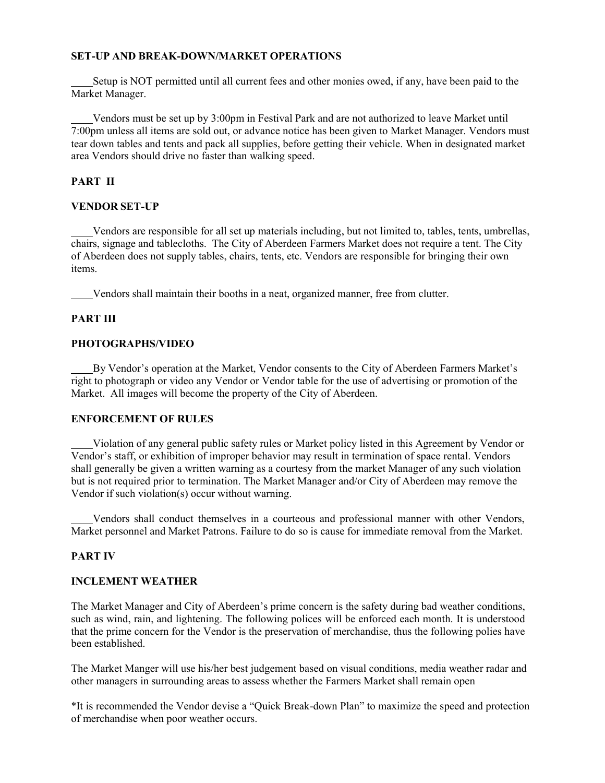## **SET-UP AND BREAK-DOWN/MARKET OPERATIONS**

 Setup is NOT permitted until all current fees and other monies owed, if any, have been paid to the Market Manager.

 Vendors must be set up by 3:00pm in Festival Park and are not authorized to leave Market until 7:00pm unless all items are sold out, or advance notice has been given to Market Manager. Vendors must tear down tables and tents and pack all supplies, before getting their vehicle. When in designated market area Vendors should drive no faster than walking speed.

## **PART II**

#### **VENDOR SET-UP**

 Vendors are responsible for all set up materials including, but not limited to, tables, tents, umbrellas, chairs, signage and tablecloths. The City of Aberdeen Farmers Market does not require a tent. The City of Aberdeen does not supply tables, chairs, tents, etc. Vendors are responsible for bringing their own items.

Vendors shall maintain their booths in a neat, organized manner, free from clutter.

#### **PART III**

#### **PHOTOGRAPHS/VIDEO**

 By Vendor's operation at the Market, Vendor consents to the City of Aberdeen Farmers Market's right to photograph or video any Vendor or Vendor table for the use of advertising or promotion of the Market. All images will become the property of the City of Aberdeen.

# **ENFORCEMENT OF RULES**

 Violation of any general public safety rules or Market policy listed in this Agreement by Vendor or Vendor's staff, or exhibition of improper behavior may result in termination of space rental. Vendors shall generally be given a written warning as a courtesy from the market Manager of any such violation but is not required prior to termination. The Market Manager and/or City of Aberdeen may remove the Vendor if such violation(s) occur without warning.

 Vendors shall conduct themselves in a courteous and professional manner with other Vendors, Market personnel and Market Patrons. Failure to do so is cause for immediate removal from the Market.

#### **PART IV**

#### **INCLEMENT WEATHER**

The Market Manager and City of Aberdeen's prime concern is the safety during bad weather conditions, such as wind, rain, and lightening. The following polices will be enforced each month. It is understood that the prime concern for the Vendor is the preservation of merchandise, thus the following polies have been established.

The Market Manger will use his/her best judgement based on visual conditions, media weather radar and other managers in surrounding areas to assess whether the Farmers Market shall remain open

\*It is recommended the Vendor devise a "Quick Break-down Plan" to maximize the speed and protection of merchandise when poor weather occurs.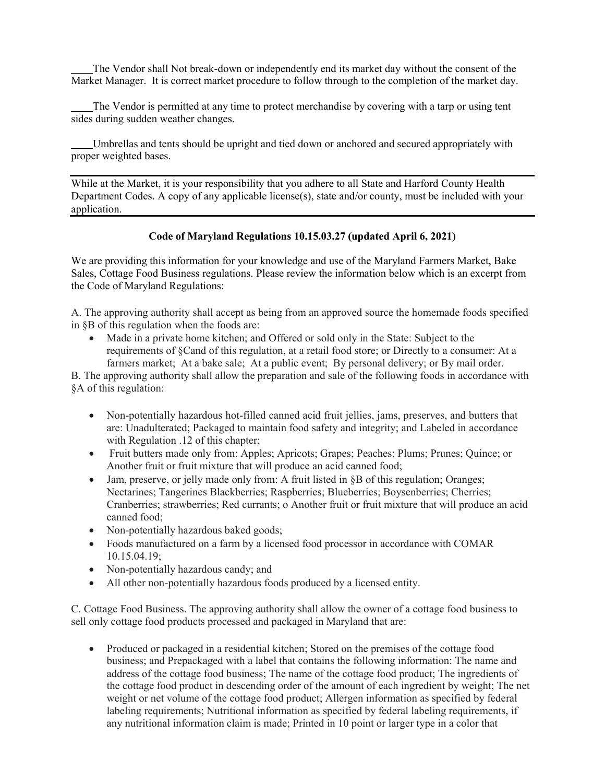The Vendor shall Not break-down or independently end its market day without the consent of the Market Manager. It is correct market procedure to follow through to the completion of the market day.

 The Vendor is permitted at any time to protect merchandise by covering with a tarp or using tent sides during sudden weather changes.

 Umbrellas and tents should be upright and tied down or anchored and secured appropriately with proper weighted bases.

While at the Market, it is your responsibility that you adhere to all State and Harford County Health Department Codes. A copy of any applicable license(s), state and/or county, must be included with your application.

# **Code of Maryland Regulations 10.15.03.27 (updated April 6, 2021)**

We are providing this information for your knowledge and use of the Maryland Farmers Market, Bake Sales, Cottage Food Business regulations. Please review the information below which is an excerpt from the Code of Maryland Regulations:

A. The approving authority shall accept as being from an approved source the homemade foods specified in §B of this regulation when the foods are:

 Made in a private home kitchen; and Offered or sold only in the State: Subject to the requirements of §Cand of this regulation, at a retail food store; or Directly to a consumer: At a farmers market; At a bake sale; At a public event; By personal delivery; or By mail order.

B. The approving authority shall allow the preparation and sale of the following foods in accordance with §A of this regulation:

- Non-potentially hazardous hot-filled canned acid fruit jellies, jams, preserves, and butters that are: Unadulterated; Packaged to maintain food safety and integrity; and Labeled in accordance with Regulation .12 of this chapter;
- Fruit butters made only from: Apples; Apricots; Grapes; Peaches; Plums; Prunes; Quince; or Another fruit or fruit mixture that will produce an acid canned food;
- Jam, preserve, or jelly made only from: A fruit listed in §B of this regulation; Oranges; Nectarines; Tangerines Blackberries; Raspberries; Blueberries; Boysenberries; Cherries; Cranberries; strawberries; Red currants; o Another fruit or fruit mixture that will produce an acid canned food;
- Non-potentially hazardous baked goods;
- Foods manufactured on a farm by a licensed food processor in accordance with COMAR 10.15.04.19;
- Non-potentially hazardous candy; and
- All other non-potentially hazardous foods produced by a licensed entity.

C. Cottage Food Business. The approving authority shall allow the owner of a cottage food business to sell only cottage food products processed and packaged in Maryland that are:

• Produced or packaged in a residential kitchen; Stored on the premises of the cottage food business; and Prepackaged with a label that contains the following information: The name and address of the cottage food business; The name of the cottage food product; The ingredients of the cottage food product in descending order of the amount of each ingredient by weight; The net weight or net volume of the cottage food product; Allergen information as specified by federal labeling requirements; Nutritional information as specified by federal labeling requirements, if any nutritional information claim is made; Printed in 10 point or larger type in a color that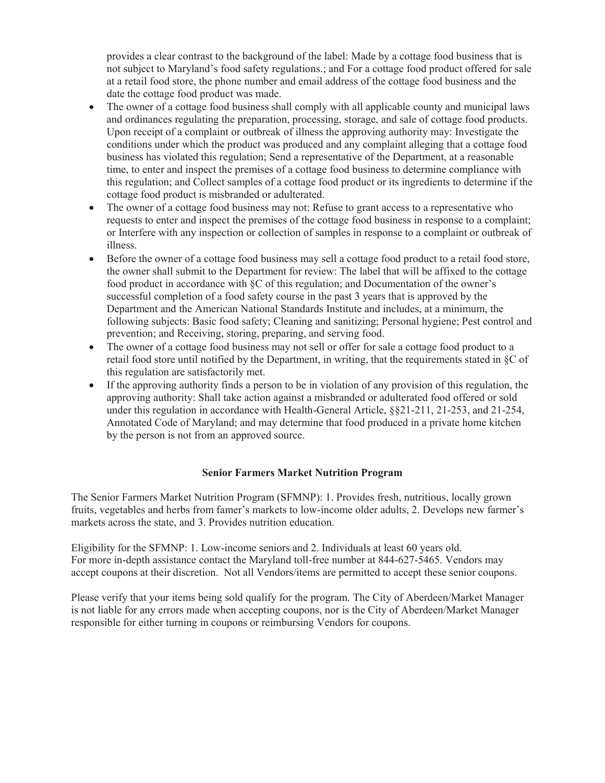provides a clear contrast to the background of the label: Made by a cottage food business that is not subject to Maryland's food safety regulations.; and For a cottage food product offered for sale at a retail food store, the phone number and email address of the cottage food business and the date the cottage food product was made.

- The owner of a cottage food business shall comply with all applicable county and municipal laws and ordinances regulating the preparation, processing, storage, and sale of cottage food products. Upon receipt of a complaint or outbreak of illness the approving authority may: Investigate the conditions under which the product was produced and any complaint alleging that a cottage food business has violated this regulation; Send a representative of the Department, at a reasonable time, to enter and inspect the premises of a cottage food business to determine compliance with this regulation; and Collect samples of a cottage food product or its ingredients to determine if the cottage food product is misbranded or adulterated.
- The owner of a cottage food business may not: Refuse to grant access to a representative who requests to enter and inspect the premises of the cottage food business in response to a complaint; or Interfere with any inspection or collection of samples in response to a complaint or outbreak of illness.
- Before the owner of a cottage food business may sell a cottage food product to a retail food store, the owner shall submit to the Department for review: The label that will be affixed to the cottage food product in accordance with §C of this regulation; and Documentation of the owner's successful completion of a food safety course in the past 3 years that is approved by the Department and the American National Standards Institute and includes, at a minimum, the following subjects: Basic food safety; Cleaning and sanitizing; Personal hygiene; Pest control and prevention; and Receiving, storing, preparing, and serving food.
- The owner of a cottage food business may not sell or offer for sale a cottage food product to a retail food store until notified by the Department, in writing, that the requirements stated in §C of this regulation are satisfactorily met.
- If the approving authority finds a person to be in violation of any provision of this regulation, the approving authority: Shall take action against a misbranded or adulterated food offered or sold under this regulation in accordance with Health-General Article, §§21-211, 21-253, and 21-254, Annotated Code of Maryland; and may determine that food produced in a private home kitchen by the person is not from an approved source.

# **Senior Farmers Market Nutrition Program**

The Senior Farmers Market Nutrition Program (SFMNP): 1. Provides fresh, nutritious, locally grown fruits, vegetables and herbs from famer's markets to low-income older adults, 2. Develops new farmer's markets across the state, and 3. Provides nutrition education.

Eligibility for the SFMNP: 1. Low-income seniors and 2. Individuals at least 60 years old. For more in-depth assistance contact the Maryland toll-free number at 844-627-5465. Vendors may accept coupons at their discretion. Not all Vendors/items are permitted to accept these senior coupons.

Please verify that your items being sold qualify for the program. The City of Aberdeen/Market Manager is not liable for any errors made when accepting coupons, nor is the City of Aberdeen/Market Manager responsible for either turning in coupons or reimbursing Vendors for coupons.